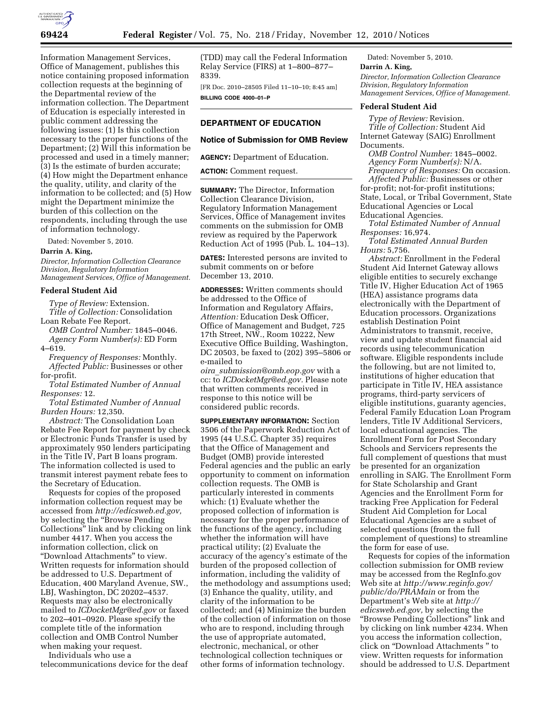

Information Management Services, Office of Management, publishes this notice containing proposed information collection requests at the beginning of the Departmental review of the information collection. The Department of Education is especially interested in public comment addressing the following issues: (1) Is this collection necessary to the proper functions of the Department; (2) Will this information be processed and used in a timely manner; (3) Is the estimate of burden accurate; (4) How might the Department enhance the quality, utility, and clarity of the information to be collected; and (5) How might the Department minimize the burden of this collection on the respondents, including through the use of information technology.

Dated: November 5, 2010.

## **Darrin A. King,**

*Director, Information Collection Clearance Division, Regulatory Information Management Services, Office of Management.* 

## **Federal Student Aid**

*Type of Review:* Extension. *Title of Collection:* Consolidation Loan Rebate Fee Report.

*OMB Control Number:* 1845–0046. *Agency Form Number(s):* ED Form 4–619.

*Frequency of Responses:* Monthly. *Affected Public:* Businesses or other for-profit.

*Total Estimated Number of Annual Responses:* 12.

*Total Estimated Number of Annual Burden Hours:* 12,350.

*Abstract:* The Consolidation Loan Rebate Fee Report for payment by check or Electronic Funds Transfer is used by approximately 950 lenders participating in the Title IV, Part B loans program. The information collected is used to transmit interest payment rebate fees to the Secretary of Education.

Requests for copies of the proposed information collection request may be accessed from *[http://edicsweb.ed.gov,](http://edicsweb.ed.gov)*  by selecting the ''Browse Pending Collections'' link and by clicking on link number 4417. When you access the information collection, click on ''Download Attachments'' to view. Written requests for information should be addressed to U.S. Department of Education, 400 Maryland Avenue, SW., LBJ, Washington, DC 20202–4537. Requests may also be electronically mailed to *[ICDocketMgr@ed.gov](mailto:ICDocketMgr@ed.gov)* or faxed to 202–401–0920. Please specify the complete title of the information collection and OMB Control Number when making your request.

Individuals who use a telecommunications device for the deaf (TDD) may call the Federal Information Relay Service (FIRS) at 1–800–877– 8339.

[FR Doc. 2010–28505 Filed 11–10–10; 8:45 am] **BILLING CODE 4000–01–P** 

# **DEPARTMENT OF EDUCATION**

### **Notice of Submission for OMB Review**

**AGENCY:** Department of Education.

**ACTION:** Comment request.

**SUMMARY:** The Director, Information Collection Clearance Division, Regulatory Information Management Services, Office of Management invites comments on the submission for OMB review as required by the Paperwork Reduction Act of 1995 (Pub. L. 104–13).

**DATES:** Interested persons are invited to submit comments on or before December 13, 2010.

**ADDRESSES:** Written comments should be addressed to the Office of Information and Regulatory Affairs, *Attention:* Education Desk Officer, Office of Management and Budget, 725 17th Street, NW., Room 10222, New Executive Office Building, Washington, DC 20503, be faxed to (202) 395–5806 or e-mailed to

*oira*\_*[submission@omb.eop.gov](mailto:oira_submission@omb.eop.gov)* with a cc: to *[ICDocketMgr@ed.gov.](mailto:ICDocketMgr@ed.gov)* Please note that written comments received in response to this notice will be considered public records.

**SUPPLEMENTARY INFORMATION:** Section 3506 of the Paperwork Reduction Act of 1995 (44 U.S.C. Chapter 35) requires that the Office of Management and Budget (OMB) provide interested Federal agencies and the public an early opportunity to comment on information collection requests. The OMB is particularly interested in comments which: (1) Evaluate whether the proposed collection of information is necessary for the proper performance of the functions of the agency, including whether the information will have practical utility; (2) Evaluate the accuracy of the agency's estimate of the burden of the proposed collection of information, including the validity of the methodology and assumptions used; (3) Enhance the quality, utility, and clarity of the information to be collected; and (4) Minimize the burden of the collection of information on those who are to respond, including through the use of appropriate automated, electronic, mechanical, or other technological collection techniques or other forms of information technology.

Dated: November 5, 2010.

#### **Darrin A. King,**

*Director, Information Collection Clearance Division, Regulatory Information Management Services, Office of Management.* 

### **Federal Student Aid**

*Type of Review:* Revision. *Title of Collection:* Student Aid Internet Gateway (SAIG) Enrollment Documents.

*OMB Control Number:* 1845–0002. *Agency Form Number(s):* N/A.

*Frequency of Responses:* On occasion. *Affected Public:* Businesses or other for-profit; not-for-profit institutions; State, Local, or Tribal Government, State Educational Agencies or Local Educational Agencies.

*Total Estimated Number of Annual Responses:* 16,974.

*Total Estimated Annual Burden Hours:* 5,756.

*Abstract:* Enrollment in the Federal Student Aid Internet Gateway allows eligible entities to securely exchange Title IV, Higher Education Act of 1965 (HEA) assistance programs data electronically with the Department of Education processors. Organizations establish Destination Point Administrators to transmit, receive, view and update student financial aid records using telecommunication software. Eligible respondents include the following, but are not limited to, institutions of higher education that participate in Title IV, HEA assistance programs, third-party servicers of eligible institutions, guaranty agencies, Federal Family Education Loan Program lenders, Title IV Additional Servicers, local educational agencies. The Enrollment Form for Post Secondary Schools and Servicers represents the full complement of questions that must be presented for an organization enrolling in SAIG. The Enrollment Form for State Scholarship and Grant Agencies and the Enrollment Form for tracking Free Application for Federal Student Aid Completion for Local Educational Agencies are a subset of selected questions (from the full complement of questions) to streamline the form for ease of use.

Requests for copies of the information collection submission for OMB review may be accessed from the RegInfo.gov Web site at *[http://www.reginfo.gov/](http://www.reginfo.gov/public/do/PRAMain) [public/do/PRAMain](http://www.reginfo.gov/public/do/PRAMain)* or from the Department's Web site at *[http://](http://edicsweb.ed.gov)  [edicsweb.ed.gov,](http://edicsweb.ed.gov)* by selecting the ''Browse Pending Collections'' link and by clicking on link number 4234. When you access the information collection, click on ''Download Attachments '' to view. Written requests for information should be addressed to U.S. Department